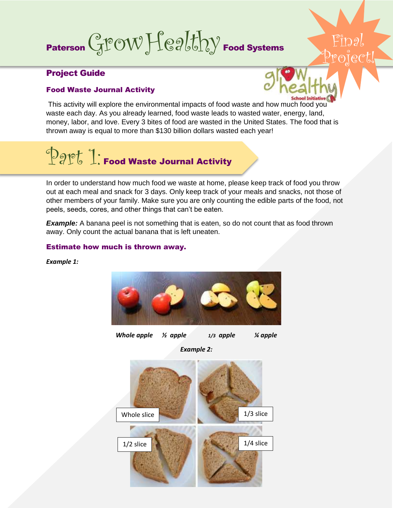# Paterson  $GPOWHegHdy$  Food Systems Project!

## Project Guide

### Food Waste Journal Activity



 $\mathbb{P}^{\mathbb{P}}$ l $\mathbb{D}$ al

This activity will explore the environmental impacts of food waste and how much food you waste each day. As you already learned, food waste leads to wasted water, energy, land, money, labor, and love. Every 3 bites of food are wasted in the United States. The food that is thrown away is equal to more than \$130 billion dollars wasted each year!

# **Part 1: Food Waste Journal Activity**

In order to understand how much food we waste at home, please keep track of food you throw out at each meal and snack for 3 days. Only keep track of your meals and snacks, not those of other members of your family. Make sure you are only counting the edible parts of the food, not peels, seeds, cores, and other things that can't be eaten.

**Example:** A banana peel is not something that is eaten, so do not count that as food thrown away. Only count the actual banana that is left uneaten.

### Estimate how much is thrown away.





*Whole apple ½ apple 1/3 apple ¼ apple*

*Example 2:*

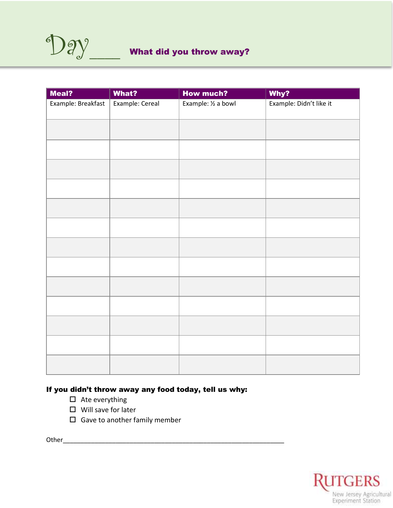| Meal?              | What?           | <b>How much?</b>    | Why?                    |
|--------------------|-----------------|---------------------|-------------------------|
| Example: Breakfast | Example: Cereal | Example: 1/2 a bowl | Example: Didn't like it |
|                    |                 |                     |                         |
|                    |                 |                     |                         |
|                    |                 |                     |                         |
|                    |                 |                     |                         |
|                    |                 |                     |                         |
|                    |                 |                     |                         |
|                    |                 |                     |                         |
|                    |                 |                     |                         |
|                    |                 |                     |                         |
|                    |                 |                     |                         |
|                    |                 |                     |                         |
|                    |                 |                     |                         |
|                    |                 |                     |                         |

### If you didn't throw away any food today, tell us why:

- $\Box$  Ate everything
- $\square$  Will save for later
- $\square$  Gave to another family member

Other\_\_\_\_\_\_\_\_\_\_\_\_\_\_\_\_\_\_\_\_\_\_\_\_\_\_\_\_\_\_\_\_\_\_\_\_\_\_\_\_\_\_\_\_\_\_\_\_\_\_\_\_\_\_\_\_\_\_\_\_\_\_\_

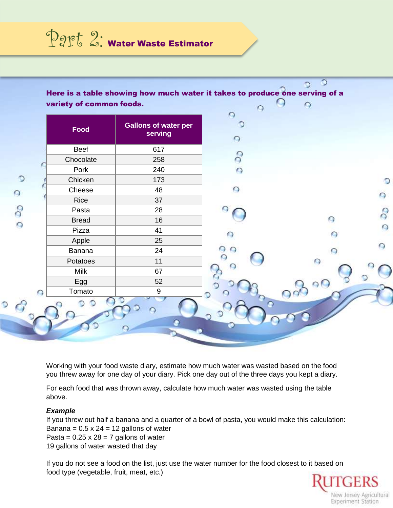Dapt 2: Water Waste Estimator

| Beef<br>617<br>$\delta$<br>Chocolate<br>258<br>Pork<br>240<br>$\Omega$<br>Chicken<br>173<br>48<br>Cheese<br>Rice<br>37<br>O<br>Pasta<br>28<br>$\bigcirc$<br>16<br><b>Bread</b><br>41<br>Pizza<br>Apple<br>25<br>◠<br>Banana<br>24<br>69<br>$\circ$<br>11<br>Potatoes<br>Ο<br><b>Milk</b><br>67<br>52<br>Egg<br>$\circ$<br>$\boldsymbol{9}$<br>Tomato | Food | <b>Gallons of water per</b><br>serving | $\circ$ |  |
|------------------------------------------------------------------------------------------------------------------------------------------------------------------------------------------------------------------------------------------------------------------------------------------------------------------------------------------------------|------|----------------------------------------|---------|--|
|                                                                                                                                                                                                                                                                                                                                                      |      |                                        |         |  |
| $\bigcirc$                                                                                                                                                                                                                                                                                                                                           |      |                                        |         |  |
|                                                                                                                                                                                                                                                                                                                                                      |      |                                        |         |  |
|                                                                                                                                                                                                                                                                                                                                                      |      |                                        |         |  |
|                                                                                                                                                                                                                                                                                                                                                      |      |                                        |         |  |
|                                                                                                                                                                                                                                                                                                                                                      |      |                                        |         |  |
|                                                                                                                                                                                                                                                                                                                                                      |      |                                        |         |  |
|                                                                                                                                                                                                                                                                                                                                                      |      |                                        |         |  |
|                                                                                                                                                                                                                                                                                                                                                      |      |                                        |         |  |
|                                                                                                                                                                                                                                                                                                                                                      |      |                                        |         |  |
|                                                                                                                                                                                                                                                                                                                                                      |      |                                        |         |  |
|                                                                                                                                                                                                                                                                                                                                                      |      |                                        |         |  |
|                                                                                                                                                                                                                                                                                                                                                      |      |                                        |         |  |
|                                                                                                                                                                                                                                                                                                                                                      |      |                                        |         |  |
|                                                                                                                                                                                                                                                                                                                                                      |      |                                        |         |  |

Working with your food waste diary, estimate how much water was wasted based on the food you threw away for one day of your diary. Pick one day out of the three days you kept a diary.

For each food that was thrown away, calculate how much water was wasted using the table above.

#### *Example*

If you threw out half a banana and a quarter of a bowl of pasta, you would make this calculation: Banana =  $0.5 \times 24 = 12$  gallons of water Pasta =  $0.25 \times 28 = 7$  gallons of water 19 gallons of water wasted that day

If you do not see a food on the list, just use the water number for the food closest to it based on food type (vegetable, fruit, meat, etc.)

TGERS New Jersey Agricultural **Experiment Station**